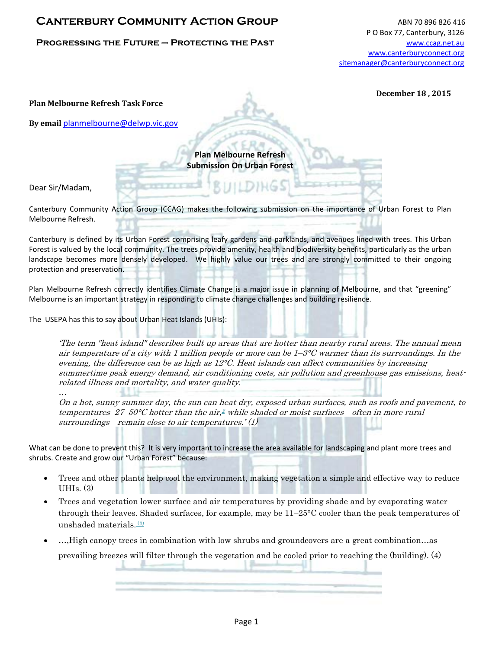## **CANTERBURY COMMUNITY ACTION GROUP** ABN 70 896 826 416

## **PROGRESSING THE FUTURE – PROTECTING THE PAST** MESS **THE SECTION CONSTRUSS WWW.CCag.net.au**

**December 18 , 2015** 

**Plan Melbourne Refresh Task Force** 

**By email** [planmelbourne@delwp.vic.gov](mailto:planmelbourne@delwp.vic.gov)

**Plan Melbourne Refresh Submission On Urban Forest**

Dear Sir/Madam,

…

Canterbury Community Action Group (CCAG) makes the following submission on the importance of Urban Forest to Plan Melbourne Refresh.

Canterbury is defined by its Urban Forest comprising leafy gardens and parklands, and avenues lined with trees. This Urban Forest is valued by the local community. The trees provide amenity, health and biodiversity benefits, particularly as the urban landscape becomes more densely developed. We highly value our trees and are strongly committed to their ongoing protection and preservation.

Plan Melbourne Refresh correctly identifies Climate Change is a major issue in planning of Melbourne, and that "greening" Melbourne is an important strategy in responding to climate change challenges and building resilience.

The USEPA has this to say about Urban Heat Islands (UHIs):

'The term "heat island" describes built up areas that are hotter than nearby rural areas. The annual mean air temperature of a city with 1 million people or more can be  $1-3^{\circ}C$  warmer than its surroundings. In the evening, the difference can be as high as  $12^{\circ}C$ . Heat islands can affect communities by increasing summertime peak energy demand, air conditioning costs, air pollution and greenhouse gas emissions, heatrelated illness and mortality, and water quality.

On a hot, sunny summer day, the sun can heat dry, exposed urban surfaces, such as roofs and pavement, to temperatures  $27-50^{\circ}$ C hotter than the air,<sup>2</sup> while shaded or moist surfaces—often in more rural surroundings—remain close to air temperatures.'  $(1)$ 

What can be done to prevent this? It is very important to increase the area available for landscaping and plant more trees and shrubs. Create and grow our "Urban Forest" because:

- Trees and other plants help cool the environment, making vegetation a simple and effective way to reduce UHIs. (3)
- Trees and vegetation lower surface and air temperatures by providing shade and by evaporating water through their leaves. Shaded surfaces, for example, may be 11–25°C cooler than the peak temperatures of unshaded materials.<sup>(3)</sup>
- …,High canopy trees in combination with low shrubs and groundcovers are a great combination…as prevailing breezes will filter through the vegetation and be cooled prior to reaching the (building). (4)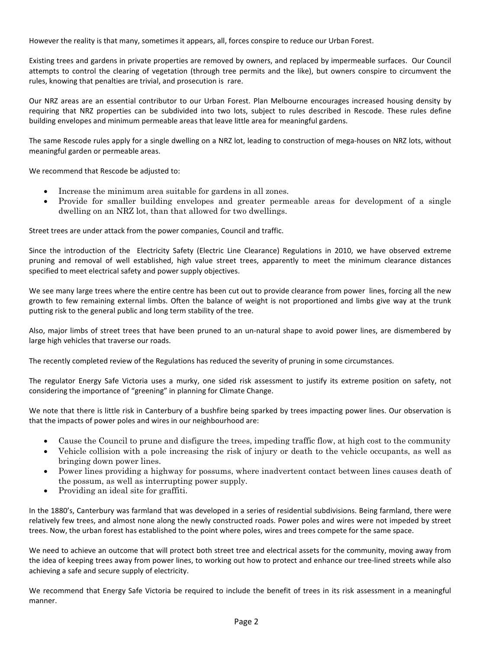However the reality is that many, sometimes it appears, all, forces conspire to reduce our Urban Forest.

Existing trees and gardens in private properties are removed by owners, and replaced by impermeable surfaces. Our Council attempts to control the clearing of vegetation (through tree permits and the like), but owners conspire to circumvent the rules, knowing that penalties are trivial, and prosecution is rare.

Our NRZ areas are an essential contributor to our Urban Forest. Plan Melbourne encourages increased housing density by requiring that NRZ properties can be subdivided into two lots, subject to rules described in Rescode. These rules define building envelopes and minimum permeable areas that leave little area for meaningful gardens.

The same Rescode rules apply for a single dwelling on a NRZ lot, leading to construction of mega-houses on NRZ lots, without meaningful garden or permeable areas.

We recommend that Rescode be adjusted to:

- Increase the minimum area suitable for gardens in all zones.
- Provide for smaller building envelopes and greater permeable areas for development of a single dwelling on an NRZ lot, than that allowed for two dwellings.

Street trees are under attack from the power companies, Council and traffic.

Since the introduction of the Electricity Safety (Electric Line Clearance) Regulations in 2010, we have observed extreme pruning and removal of well established, high value street trees, apparently to meet the minimum clearance distances specified to meet electrical safety and power supply objectives.

We see many large trees where the entire centre has been cut out to provide clearance from power lines, forcing all the new growth to few remaining external limbs. Often the balance of weight is not proportioned and limbs give way at the trunk putting risk to the general public and long term stability of the tree.

Also, major limbs of street trees that have been pruned to an un-natural shape to avoid power lines, are dismembered by large high vehicles that traverse our roads.

The recently completed review of the Regulations has reduced the severity of pruning in some circumstances.

The regulator Energy Safe Victoria uses a murky, one sided risk assessment to justify its extreme position on safety, not considering the importance of "greening" in planning for Climate Change.

We note that there is little risk in Canterbury of a bushfire being sparked by trees impacting power lines. Our observation is that the impacts of power poles and wires in our neighbourhood are:

- Cause the Council to prune and disfigure the trees, impeding traffic flow, at high cost to the community
- Vehicle collision with a pole increasing the risk of injury or death to the vehicle occupants, as well as bringing down power lines.
- Power lines providing a highway for possums, where inadvertent contact between lines causes death of the possum, as well as interrupting power supply.
- Providing an ideal site for graffiti.

In the 1880's, Canterbury was farmland that was developed in a series of residential subdivisions. Being farmland, there were relatively few trees, and almost none along the newly constructed roads. Power poles and wires were not impeded by street trees. Now, the urban forest has established to the point where poles, wires and trees compete for the same space.

We need to achieve an outcome that will protect both street tree and electrical assets for the community, moving away from the idea of keeping trees away from power lines, to working out how to protect and enhance our tree-lined streets while also achieving a safe and secure supply of electricity.

We recommend that Energy Safe Victoria be required to include the benefit of trees in its risk assessment in a meaningful manner.